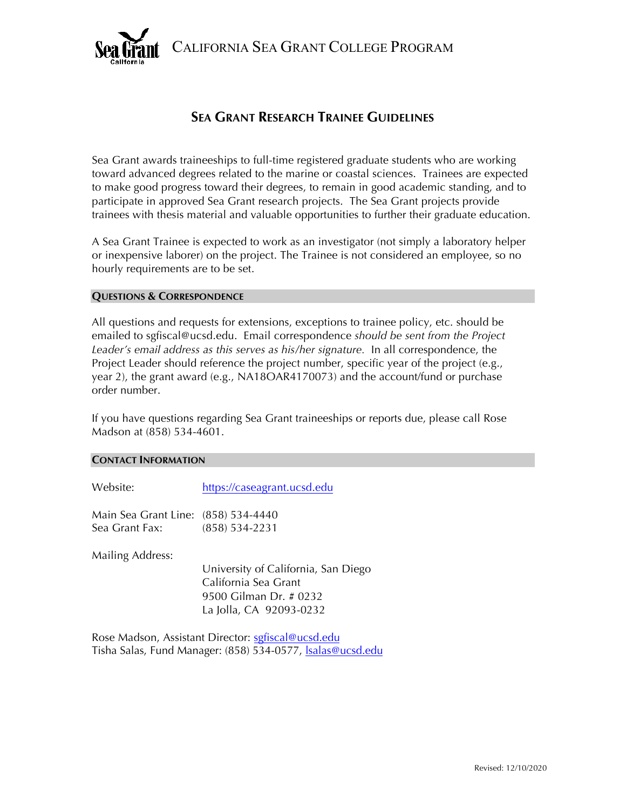CALIFORNIA SEA GRANT COLLEGE PROGRAM



## **SEA GRANT RESEARCH TRAINEE GUIDELINES**

Sea Grant awards traineeships to full-time registered graduate students who are working toward advanced degrees related to the marine or coastal sciences. Trainees are expected to make good progress toward their degrees, to remain in good academic standing, and to participate in approved Sea Grant research projects. The Sea Grant projects provide trainees with thesis material and valuable opportunities to further their graduate education.

A Sea Grant Trainee is expected to work as an investigator (not simply a laboratory helper or inexpensive laborer) on the project. The Trainee is not considered an employee, so no hourly requirements are to be set.

## **QUESTIONS & CORRESPONDENCE**

All questions and requests for extensions, exceptions to trainee policy, etc. should be emailed to sgfiscal@ucsd.edu. Email correspondence *should be sent from the Project Leader's email address as this serves as his/her signature.* In all correspondence, the Project Leader should reference the project number, specific year of the project (e.g., year 2), the grant award (e.g., NA18OAR4170073) and the account/fund or purchase order number.

If you have questions regarding Sea Grant traineeships or reports due, please call Rose Madson at (858) 534-4601.

## **CONTACT INFORMATION**

Website: https://caseagrant.ucsd.edu

Main Sea Grant Line: (858) 534-4440 Sea Grant Fax: (858) 534-2231

Mailing Address:

University of California, San Diego California Sea Grant 9500 Gilman Dr. # 0232 La Jolla, CA 92093-0232

Rose Madson, Assistant Director: sgfiscal@ucsd.edu Tisha Salas, Fund Manager: (858) 534-0577, *Isalas@ucsd.edu*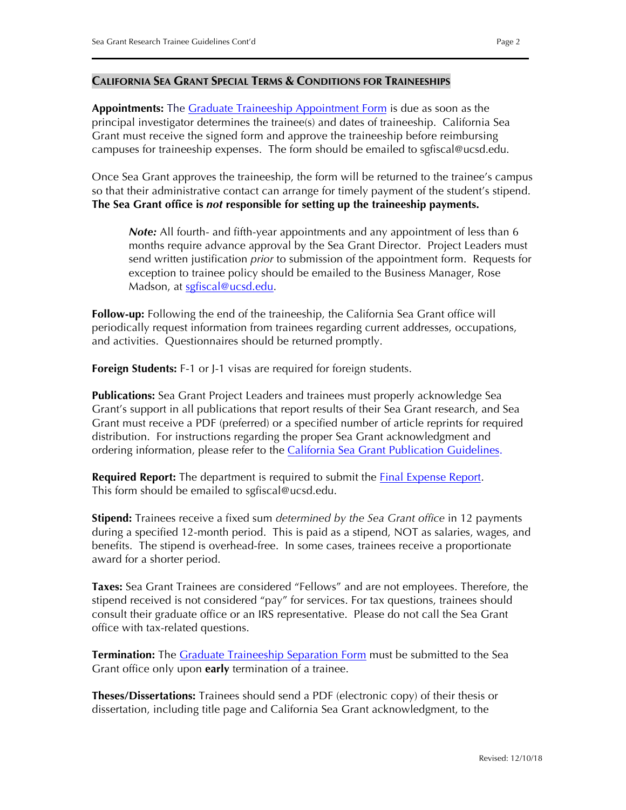## **CALIFORNIA SEA GRANT SPECIAL TERMS & CONDITIONS FOR TRAINEESHIPS**

[Appointment](https://caseagrant.ucsd.edu/sites/default/files/TR_Appt_Fillable_2018.pdf)s: The **Graduate Traineeship Appointment Form** is due as soon as the principal investigator determines the trainee(s) and dates of traineeship. California Sea Grant must receive the signed form and approve the traineeship before reimbursing campuses for traineeship expenses. The form should be emailed to sgfiscal@ucsd.edu.

Once Sea Grant approves the traineeship, the form will be returned to the trainee's campus so that their administrative contact can arrange for timely payment of the student's stipend. **The Sea Grant office is** *not* **responsible for setting up the traineeship payments.**

*Note:* All fourth- and fifth-year appointments and any appointment of less than 6 months require advance approval by the Sea Grant Director. Project Leaders must send written justification *prior* to submission of the appointment form. Requests for exception to trainee policy should be emailed to the Business Manager, Rose Madson, at sgfiscal@ucsd.edu.

**Follow-up:** Following the end of the traineeship, the California Sea Grant office will periodically request information from trainees regarding current addresses, occupations, and activities. Questionnaires should be returned promptly.

**Foreign Students:** F-1 or J-1 visas are required for foreign students.

**Publications:** Sea Grant Project Leaders and trainees must properly acknowledge Sea Grant's support in all publications that report results of their Sea Grant research, and Sea Grant must receive a PDF (preferred) or a specified number of article reprints for required distribution. For instructions regarding the proper Sea Grant acknowledgment and ordering information, please refer to the [California Sea Grant Publication Guidelines.](https://caseagrant.ucsd.edu/grants-and-funding/managing-your-award/california-sea-grant-core-awards#PublicationGuidelines)

**Required Report:** The department is required to submit the **Final [Expense Report.](https://caseagrant.ucsd.edu/reporting/california-sea-grant-core-awards)** This form should be emailed to sgfiscal@ucsd.edu.

**Stipend:** Trainees receive a fixed sum *determined by the Sea Grant office* in 12 payments during a specified 12-month period. This is paid as a stipend, NOT as salaries, wages, and benefits. The stipend is overhead-free. In some cases, trainees receive a proportionate award for a shorter period.

**Taxes:** Sea Grant Trainees are considered "Fellows" and are not employees. Therefore, the stipend received is not considered "pay" for services. For tax questions, trainees should consult their graduate office or an IRS representative. Please do not call the Sea Grant office with tax-related questions.

**Termination:** Th[e Graduate Traineeship Separation Form](https://caseagrant.ucsd.edu/sites/default/files/TR_Sep_Fillable_2018.pdf) must be submitted to the Sea Grant office only upon **early** termination of a trainee.

**Theses/Dissertations:** Trainees should send a PDF (electronic copy) of their thesis or dissertation, including title page and California Sea Grant acknowledgment, to the